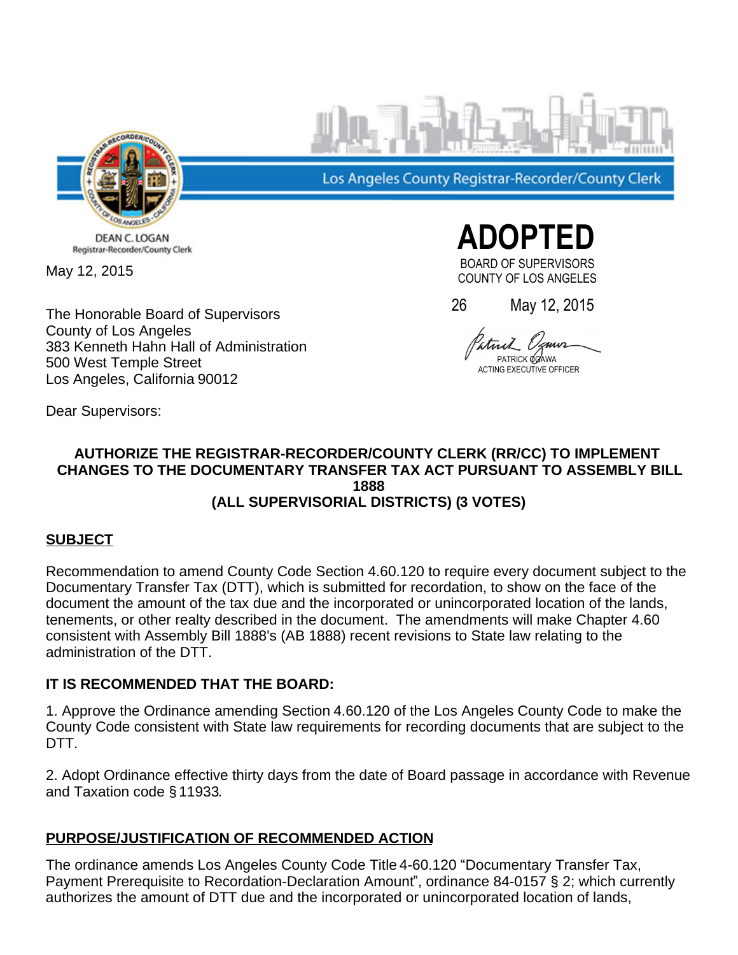

Los Angeles County Registrar-Recorder/County Clerk

DEAN C. LOGAN Registrar-Recorder/County Clerk

May 12, 2015

The Honorable Board of Supervisors County of Los Angeles 383 Kenneth Hahn Hall of Administration 500 West Temple Street Los Angeles, California 90012

 **ADOPTED** BOARD OF SUPERVISORS

COUNTY OF LOS ANGELES

26 May 12, 2015

PATRICK **OGAWA NG EXECUTIVE OFFICER** 

### Dear Supervisors:

#### **AUTHORIZE THE REGISTRAR-RECORDER/COUNTY CLERK (RR/CC) TO IMPLEMENT CHANGES TO THE DOCUMENTARY TRANSFER TAX ACT PURSUANT TO ASSEMBLY BILL 1888 (ALL SUPERVISORIAL DISTRICTS) (3 VOTES)**

# **SUBJECT**

Recommendation to amend County Code Section 4.60.120 to require every document subject to the Documentary Transfer Tax (DTT), which is submitted for recordation, to show on the face of the document the amount of the tax due and the incorporated or unincorporated location of the lands, tenements, or other realty described in the document. The amendments will make Chapter 4.60 consistent with Assembly Bill 1888's (AB 1888) recent revisions to State law relating to the administration of the DTT.

# **IT IS RECOMMENDED THAT THE BOARD:**

1. Approve the Ordinance amending Section 4.60.120 of the Los Angeles County Code to make the County Code consistent with State law requirements for recording documents that are subject to the DTT.

2. Adopt Ordinance effective thirty days from the date of Board passage in accordance with Revenue and Taxation code § 11933.

# **PURPOSE/JUSTIFICATION OF RECOMMENDED ACTION**

The ordinance amends Los Angeles County Code Title 4-60.120 "Documentary Transfer Tax, Payment Prerequisite to Recordation-Declaration Amount", ordinance 84-0157 § 2; which currently authorizes the amount of DTT due and the incorporated or unincorporated location of lands,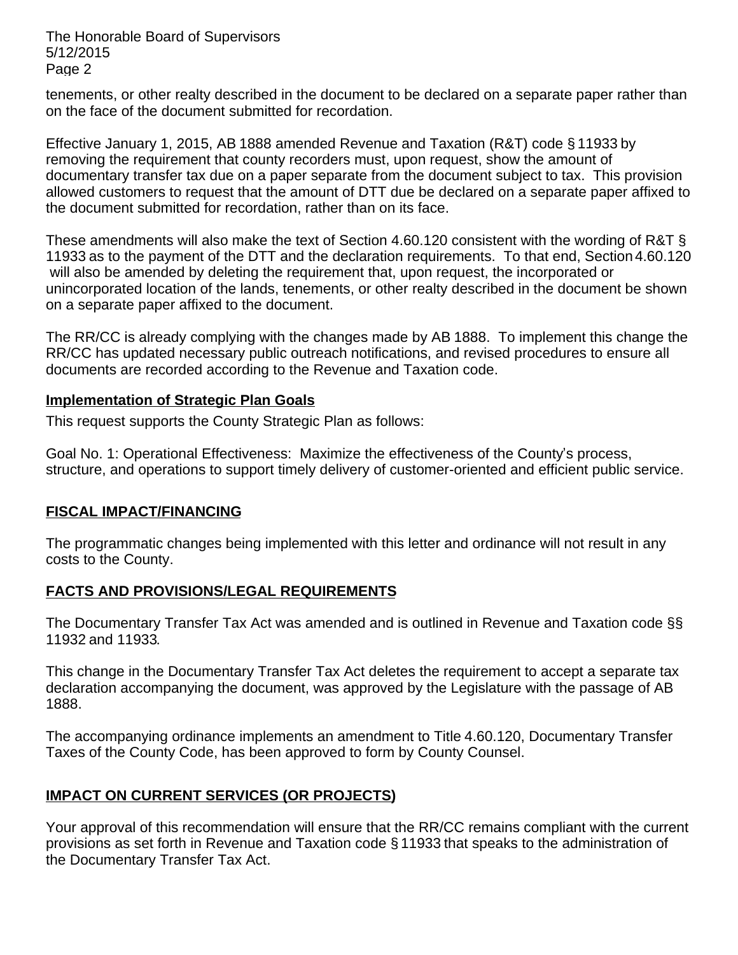The Honorable Board of Supervisors 5/12/2015 Page 2

tenements, or other realty described in the document to be declared on a separate paper rather than on the face of the document submitted for recordation.

Effective January 1, 2015, AB 1888 amended Revenue and Taxation (R&T) code § 11933 by removing the requirement that county recorders must, upon request, show the amount of documentary transfer tax due on a paper separate from the document subject to tax. This provision allowed customers to request that the amount of DTT due be declared on a separate paper affixed to the document submitted for recordation, rather than on its face.

These amendments will also make the text of Section 4.60.120 consistent with the wording of R&T § 11933 as to the payment of the DTT and the declaration requirements. To that end, Section 4.60.120 will also be amended by deleting the requirement that, upon request, the incorporated or unincorporated location of the lands, tenements, or other realty described in the document be shown on a separate paper affixed to the document.

The RR/CC is already complying with the changes made by AB 1888. To implement this change the RR/CC has updated necessary public outreach notifications, and revised procedures to ensure all documents are recorded according to the Revenue and Taxation code.

### **Implementation of Strategic Plan Goals**

This request supports the County Strategic Plan as follows:

Goal No. 1: Operational Effectiveness: Maximize the effectiveness of the County's process, structure, and operations to support timely delivery of customer-oriented and efficient public service.

# **FISCAL IMPACT/FINANCING**

The programmatic changes being implemented with this letter and ordinance will not result in any costs to the County.

# **FACTS AND PROVISIONS/LEGAL REQUIREMENTS**

The Documentary Transfer Tax Act was amended and is outlined in Revenue and Taxation code §§ 11932 and 11933.

This change in the Documentary Transfer Tax Act deletes the requirement to accept a separate tax declaration accompanying the document, was approved by the Legislature with the passage of AB 1888.

The accompanying ordinance implements an amendment to Title 4.60.120, Documentary Transfer Taxes of the County Code, has been approved to form by County Counsel.

# **IMPACT ON CURRENT SERVICES (OR PROJECTS)**

Your approval of this recommendation will ensure that the RR/CC remains compliant with the current provisions as set forth in Revenue and Taxation code § 11933 that speaks to the administration of the Documentary Transfer Tax Act.